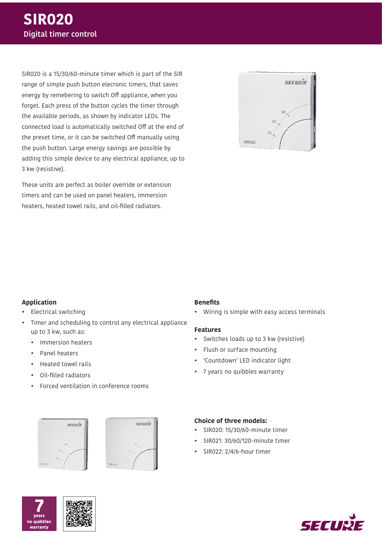SIR020 is a 15/30/60-minute timer which is part of the SIR range of simple push button elecronic timers, that saves energy by remebering to switch Off appliance, when you forget. Each press of the button cycles the timer through the available periods, as shown by indicator LEDs. The connected load is automatically switched Off at the end of the preset time, or it can be switched Off manually using the push button. Large energy savings are possible by adding this simple device to any electrical appliance, up to 3 kw (resistive).

These units are perfect as boiler override or extension timers and can be used on panel heaters, immersion heaters, heated towel rails, and oil-filled radiators.



#### **Application**

- Electrical switching
- Timer and scheduling to control any electrical appliance up to 3 kw, such as:
	- Immersion heaters
	- Panel heaters
	- Heated towel rails
	- Oil-filled radiators
	- Forced ventilation in conference rooms

# SECUNIE



#### **Benefits**

• Wiring is simple with easy access terminals

#### **Features**

- Switches loads up to 3 kw (resistive)
- Flush or surface mounting
- 'Countdown' LED indicator light
- 7 years no quibbles warranty

#### **Choice of three models:**

- SIR020: 15/30/60-minute timer
- SIR021: 30/60/120-minute timer
- SIR022: 2/4/6-hour timer